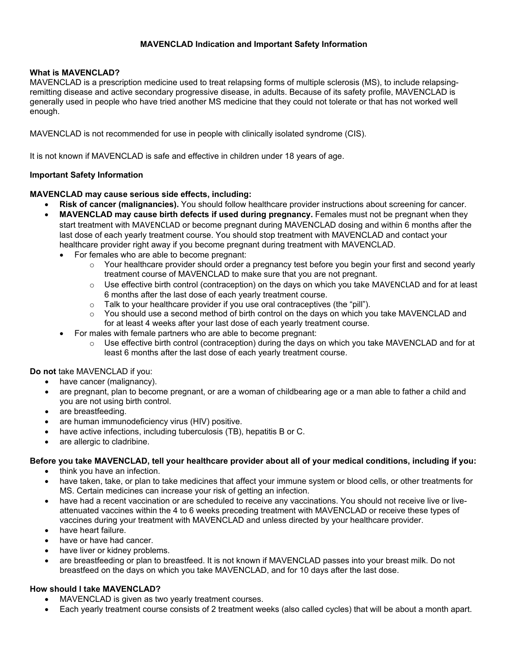# **MAVENCLAD Indication and Important Safety Information**

# **What is MAVENCLAD?**

MAVENCLAD is a prescription medicine used to treat relapsing forms of multiple sclerosis (MS), to include relapsingremitting disease and active secondary progressive disease, in adults. Because of its safety profile, MAVENCLAD is generally used in people who have tried another MS medicine that they could not tolerate or that has not worked well enough.

MAVENCLAD is not recommended for use in people with clinically isolated syndrome (CIS).

It is not known if MAVENCLAD is safe and effective in children under 18 years of age.

## **Important Safety Information**

## **MAVENCLAD may cause serious side effects, including:**

- **Risk of cancer (malignancies).** You should follow healthcare provider instructions about screening for cancer.
- **MAVENCLAD may cause birth defects if used during pregnancy.** Females must not be pregnant when they start treatment with MAVENCLAD or become pregnant during MAVENCLAD dosing and within 6 months after the last dose of each yearly treatment course. You should stop treatment with MAVENCLAD and contact your healthcare provider right away if you become pregnant during treatment with MAVENCLAD.
	- For females who are able to become pregnant:
		- $\circ$  Your healthcare provider should order a pregnancy test before you begin your first and second yearly treatment course of MAVENCLAD to make sure that you are not pregnant.
		- $\circ$  Use effective birth control (contraception) on the days on which you take MAVENCLAD and for at least 6 months after the last dose of each yearly treatment course.
		- $\circ$  Talk to your healthcare provider if you use oral contraceptives (the "pill").<br> $\circ$  You should use a second method of birth control on the days on which yo
		- You should use a second method of birth control on the days on which you take MAVENCLAD and for at least 4 weeks after your last dose of each yearly treatment course.
	- For males with female partners who are able to become pregnant:
		- o Use effective birth control (contraception) during the days on which you take MAVENCLAD and for at least 6 months after the last dose of each yearly treatment course.

## **Do not** take MAVENCLAD if you:

- have cancer (malignancy).
- are pregnant, plan to become pregnant, or are a woman of childbearing age or a man able to father a child and you are not using birth control.
- are breastfeeding.
- are human immunodeficiency virus (HIV) positive.
- have active infections, including tuberculosis (TB), hepatitis B or C.
- are allergic to cladribine.

## **Before you take MAVENCLAD, tell your healthcare provider about all of your medical conditions, including if you:**

- think you have an infection.
- have taken, take, or plan to take medicines that affect your immune system or blood cells, or other treatments for MS. Certain medicines can increase your risk of getting an infection.
- have had a recent vaccination or are scheduled to receive any vaccinations. You should not receive live or liveattenuated vaccines within the 4 to 6 weeks preceding treatment with MAVENCLAD or receive these types of vaccines during your treatment with MAVENCLAD and unless directed by your healthcare provider.
- have heart failure.
- have or have had cancer.
- have liver or kidney problems.
- are breastfeeding or plan to breastfeed. It is not known if MAVENCLAD passes into your breast milk. Do not breastfeed on the days on which you take MAVENCLAD, and for 10 days after the last dose.

## **How should I take MAVENCLAD?**

- MAVENCLAD is given as two yearly treatment courses.
- Each yearly treatment course consists of 2 treatment weeks (also called cycles) that will be about a month apart.